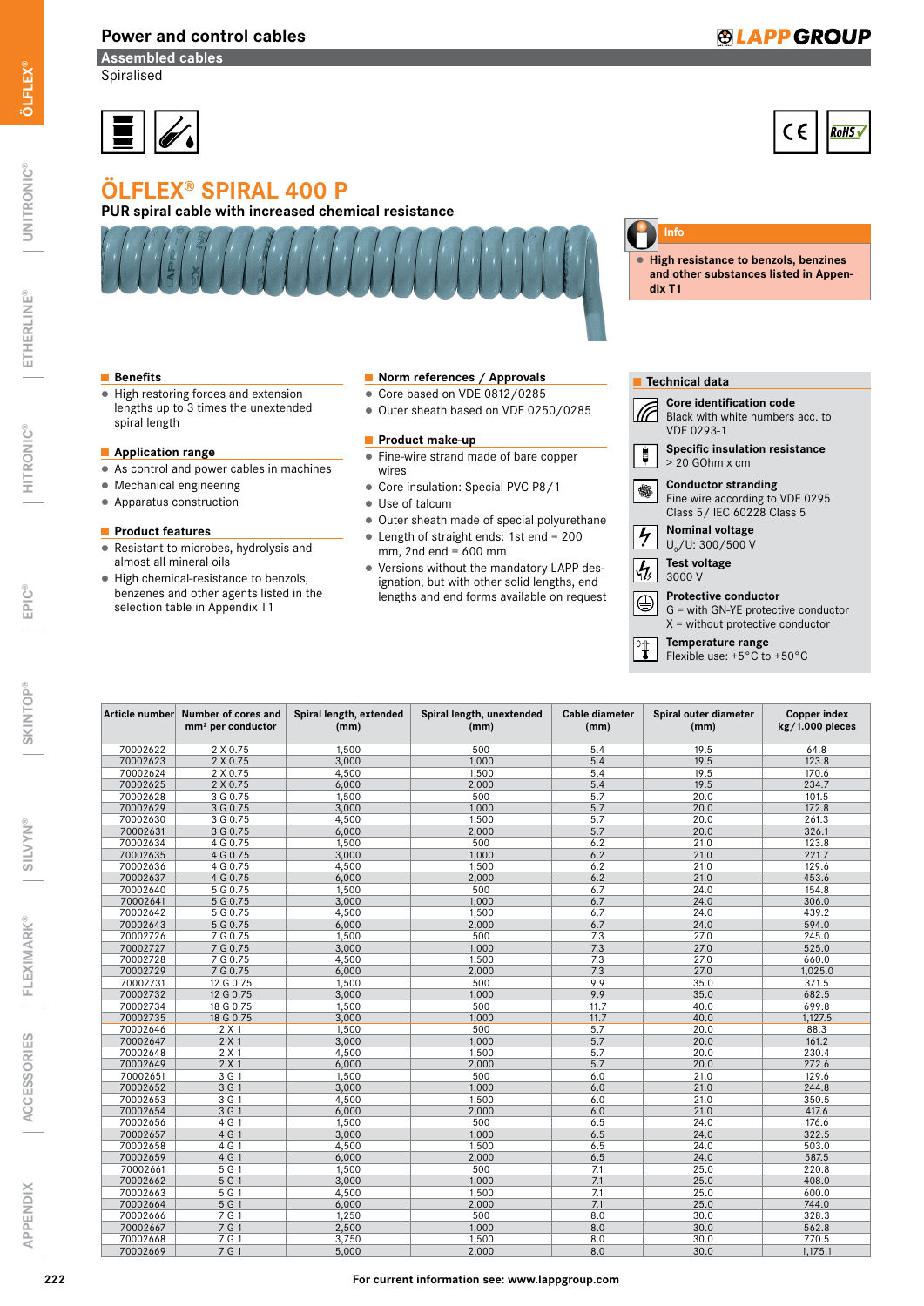#### Power and control cables

## **®LAPP GROUP**

Assembled cables **Spiralised** 



# **RoHS**

# ÖLFLEX® SPIRAL 400 P

### PUR spiral cable with increased chemical resistance



**Info**

**▯** High resistance to benzols, benzines and other substances listed in Appendix T1

#### ■ Benefits

● High restoring forces and extension lengths up to 3 times the unextended spiral length

#### ■ Application range

- As control and power cables in machines
- Mechanical engineering
- Apparatus construction

#### ■ Product features

- Resistant to microbes, hydrolysis and almost all mineral oils
- High chemical-resistance to benzols, benzenes and other agents listed in the selection table in Appendix T1

#### ■ Norm references / Approvals

- Core based on VDE 0812/0285
- Outer sheath based on VDE 0250/0285

#### ■ Product make-up

- Fine-wire strand made of bare copper wires
- Core insulation: Special PVC P8/1
- Use of talcum
- Outer sheath made of special polyurethane
- ▯ Length of straight ends: 1st end = 200  $mm$ , 2nd end = 600 mm
- Versions without the mandatory LAPP designation, but with other solid lengths, end lengths and end forms available on request

| <b>Technical data</b> |                                                                                                            |  |  |  |  |  |  |
|-----------------------|------------------------------------------------------------------------------------------------------------|--|--|--|--|--|--|
|                       | <b>Core identification code</b><br>Black with white numbers acc. to<br><b>VDE 0293-1</b>                   |  |  |  |  |  |  |
|                       | <b>Specific insulation resistance</b><br>$> 20$ GOhm x cm                                                  |  |  |  |  |  |  |
|                       | <b>Conductor stranding</b><br>Fine wire according to VDE 0295<br>Class 5 / IEC 60228 Class 5               |  |  |  |  |  |  |
|                       | <b>Nominal voltage</b><br>$U_0/U$ : 300/500 V                                                              |  |  |  |  |  |  |
|                       | <b>Test voltage</b><br>3000 V                                                                              |  |  |  |  |  |  |
|                       | <b>Protective conductor</b><br>$G =$ with GN-YE protective conductor<br>$X =$ without protective conductor |  |  |  |  |  |  |
|                       | Temperature range                                                                                          |  |  |  |  |  |  |

Flexible use:  $+5^{\circ}$ C to  $+50^{\circ}$ C

| Article number | Number of cores and<br>mm <sup>2</sup> per conductor | Spiral length, extended<br>(mm) | Spiral length, unextended<br>(mm) | Cable diameter<br>(mm) | Spiral outer diameter<br>(mm) | <b>Copper index</b><br>$kg/1.000$ pieces |
|----------------|------------------------------------------------------|---------------------------------|-----------------------------------|------------------------|-------------------------------|------------------------------------------|
| 70002622       | 2 X 0.75                                             | 1,500                           | 500                               | 5.4                    | 19.5                          | 64.8                                     |
| 70002623       | 2 X 0.75                                             | 3,000                           | 1.000                             | 5.4                    | 19.5                          | 123.8                                    |
| 70002624       | 2 X 0.75                                             | 4,500                           | 1,500                             | 5.4                    | 19.5                          | 170.6                                    |
| 70002625       | 2 X 0.75                                             | 6,000                           | 2,000                             | 5.4                    | 19.5                          | 234.7                                    |
| 70002628       | 3 G 0.75                                             | 1,500                           | 500                               | 5.7                    | 20.0                          | 101.5                                    |
| 70002629       | 3 G 0.75                                             | 3,000                           | 1,000                             | 5.7                    | 20.0                          | 172.8                                    |
| 70002630       | 3 G 0.75                                             | 4,500                           | 1,500                             | 5.7                    | 20.0                          | 261.3                                    |
| 70002631       | 3 G 0.75                                             | 6,000                           | 2,000                             | 5.7                    | 20.0                          | 326.1                                    |
| 70002634       | 4 G 0.75                                             | 1,500                           | 500                               | 6.2                    | 21.0                          | 123.8                                    |
| 70002635       | 4 G 0.75                                             | 3,000                           | 1,000                             | 6.2                    | 21.0                          | 221.7                                    |
| 70002636       | 4 G 0.75                                             | 4,500                           | 1,500                             | 6.2                    | 21.0                          | 129.6                                    |
| 70002637       | 4 G 0.75                                             | 6,000                           | 2,000                             | 6.2                    | 21.0                          | 453.6                                    |
| 70002640       | 5 G 0.75                                             | 1,500                           | 500                               | 6.7                    | 24.0                          | 154.8                                    |
| 70002641       | 5 G 0.75                                             | 3,000                           | 1.000                             | 6.7                    | 24.0                          | 306.0                                    |
| 70002642       | 5 G 0.75                                             | 4,500                           | 1,500                             | 6.7                    | 24.0                          | 439.2                                    |
| 70002643       | 5 G 0.75                                             | 6,000                           | 2,000                             | 6.7                    | 24.0                          | 594.0                                    |
| 70002726       | 7 G 0.75                                             | 1,500                           | 500                               | 7.3                    | 27.0                          | 245.0                                    |
| 70002727       | 7 G 0.75                                             | 3,000                           | 1,000                             | 7.3                    | 27.0                          | 525.0                                    |
| 70002728       | 7 G 0.75                                             | 4,500                           | 1,500                             | 7.3                    | 27.0                          | 660.0                                    |
| 70002729       | 7 G 0.75                                             | 6,000                           | 2,000                             | 7.3                    | 27.0                          | 1,025.0                                  |
| 70002731       | 12 G 0.75                                            | 1,500                           | 500                               | 9.9                    | 35.0                          | 371.5                                    |
| 70002732       | 12 G 0.75                                            | 3,000                           | 1,000                             | 9.9                    | 35.0                          | 682.5                                    |
| 70002734       | 18 G 0.75                                            | 1,500                           | 500                               | 11.7                   | 40.0                          | 699.8                                    |
| 70002735       | 18 G 0.75                                            | 3,000                           | 1,000                             | 11.7                   | 40.0                          | 1,127.5                                  |
| 70002646       | 2 X 1                                                | 1,500                           | 500                               | 5.7                    | 20.0                          | 88.3                                     |
| 70002647       | $2 \times 1$                                         | 3,000                           | 1,000                             | 5.7                    | 20.0                          | 161.2                                    |
| 70002648       | $2 \times 1$                                         | 4,500                           | 1,500                             | 5.7                    | 20.0                          | 230.4                                    |
| 70002649       | 2 X 1                                                | 6,000                           | 2,000                             | 5.7                    | 20.0                          | 272.6                                    |
| 70002651       | 3G1                                                  | 1,500                           | 500                               | 6.0                    | 21.0                          | 129.6                                    |
| 70002652       | 3G1                                                  | 3,000                           | 1,000                             | 6.0                    | 21.0                          | 244.8                                    |
| 70002653       | 3 G 1                                                | 4,500                           | 1,500                             | 6.0                    | 21.0                          | 350.5                                    |
| 70002654       | 3 G 1                                                | 6,000                           | 2,000                             | 6.0                    | 21.0                          | 417.6                                    |
| 70002656       | 4G1                                                  | 1,500                           | 500                               | 6.5                    | 24.0                          | 176.6                                    |
| 70002657       | 4 G 1                                                | 3,000                           | 1,000                             | 6.5                    | 24.0                          | 322.5                                    |
| 70002658       | 4 G 1                                                | 4,500                           | 1,500                             | 6.5                    | 24.0                          | 503.0                                    |
| 70002659       | 4 G 1                                                | 6,000                           | 2,000                             | 6.5                    | 24.0                          | 587.5                                    |
| 70002661       | 5 G 1                                                | 1,500                           | 500                               | 7.1                    | 25.0                          | 220.8                                    |
| 70002662       | 5G1                                                  | 3,000                           | 1,000                             | 7.1                    | 25.0                          | 408.0                                    |
|                |                                                      |                                 |                                   |                        |                               |                                          |
| 70002663       | 5 G 1                                                | 4,500                           | 1,500                             | 7.1                    | 25.0                          | 600.0                                    |
| 70002664       | 5 G 1                                                | 6,000                           | 2,000                             | 7.1                    | 25.0                          | 744.0                                    |
| 70002666       | 7 G 1                                                | 1,250                           | 500                               | 8.0                    | 30.0                          | 328.3                                    |
| 70002667       | 7 G 1                                                | 2,500                           | 1.000                             | 8.0                    | 30.0                          | 562.8                                    |
| 70002668       | 7 G 1                                                | 3,750                           | 1.500                             | 8.0                    | 30.0                          | 770.5                                    |
| 70002669       | 7 G 1                                                | 5,000                           | 2,000                             | 8.0                    | 30.0                          | 1,175.1                                  |

ETHERLINE®

SKINTOP®

**SKINTOP®** 

ACCESSORIES

**ACCESSORIES** 

APPENDIX

**APPENDIX**